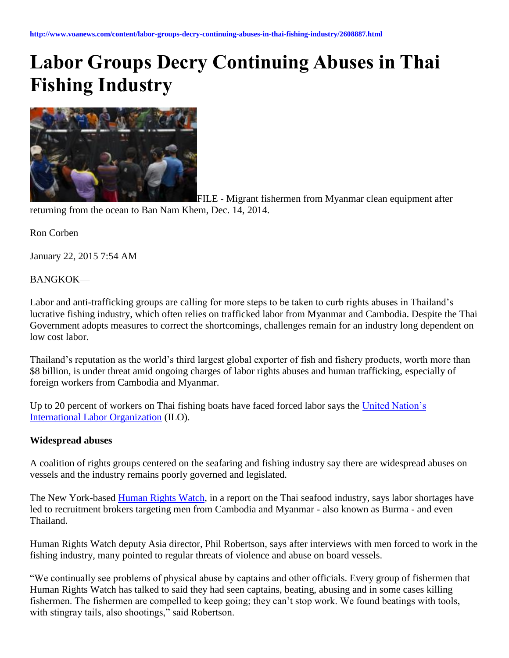# **Labor Groups Decry Continuing Abuses in Thai Fishing Industry**



FILE - Migrant fishermen from Myanmar clean equipment after returning from the ocean to Ban Nam Khem, Dec. 14, 2014.

Ron Corben

January 22, 2015 7:54 AM

## BANGKOK—

Labor and anti-trafficking groups are calling for more steps to be taken to curb rights abuses in Thailand's lucrative fishing industry, which often relies on trafficked labor from Myanmar and Cambodia. Despite the Thai Government adopts measures to correct the shortcomings, challenges remain for an industry long dependent on low cost labor.

Thailand's reputation as the world's third largest global exporter of fish and fishery products, worth more than \$8 billion, is under threat amid ongoing charges of labor rights abuses and human trafficking, especially of foreign workers from Cambodia and Myanmar.

Up to 20 percent of workers on Thai fishing boats have faced forced labor says the [United Nation's](http://www.ilo.org/global/topics/forced-labour/lang--en/index.htm)  [International Labor Organization](http://www.ilo.org/global/topics/forced-labour/lang--en/index.htm) (ILO).

#### **Widespread abuses**

A coalition of rights groups centered on the seafaring and fishing industry say there are widespread abuses on vessels and the industry remains poorly governed and legislated.

The New York-based **Human Rights Watch**, in a report on the Thai seafood industry, says labor shortages have led to recruitment brokers targeting men from Cambodia and Myanmar - also known as Burma - and even Thailand.

Human Rights Watch deputy Asia director, Phil Robertson, says after interviews with men forced to work in the fishing industry, many pointed to regular threats of violence and abuse on board vessels.

"We continually see problems of physical abuse by captains and other officials. Every group of fishermen that Human Rights Watch has talked to said they had seen captains, beating, abusing and in some cases killing fishermen. The fishermen are compelled to keep going; they can't stop work. We found beatings with tools, with stingray tails, also shootings," said Robertson.